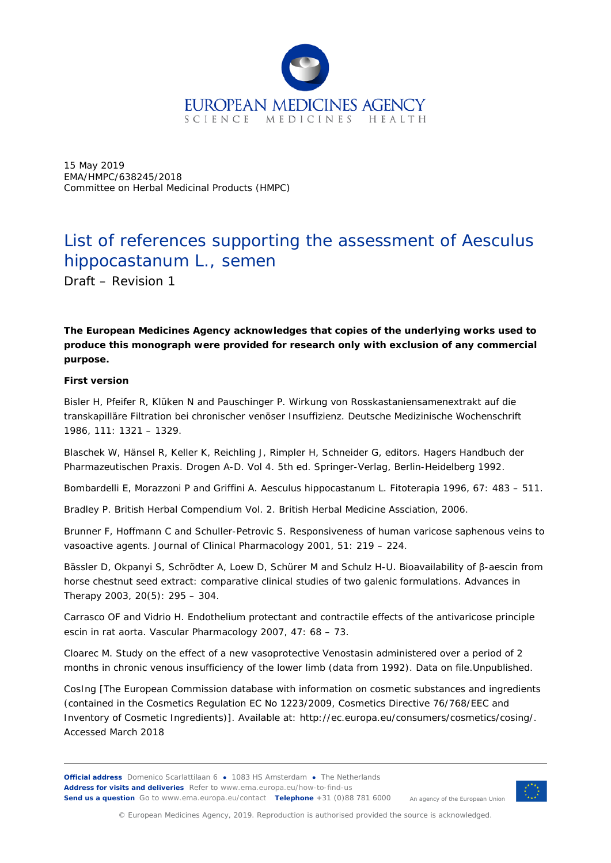

15 May 2019 EMA/HMPC/638245/2018 Committee on Herbal Medicinal Products (HMPC)

## List of references supporting the assessment of *Aesculus hippocastanum* L., semen

Draft – Revision 1

**The European Medicines Agency acknowledges that copies of the underlying works used to produce this monograph were provided for research only with exclusion of any commercial purpose.**

## **First version**

Bisler H, Pfeifer R, Klüken N and Pauschinger P. Wirkung von Rosskastaniensamenextrakt auf die transkapilläre Filtration bei chronischer venöser Insuffizienz. *Deutsche Medizinische Wochenschrift* 1986, 111: 1321 – 1329.

Blaschek W, Hänsel R, Keller K, Reichling J, Rimpler H, Schneider G, editors. Hagers Handbuch der Pharmazeutischen Praxis. Drogen A-D. Vol 4. 5th ed. Springer-Verlag, Berlin-Heidelberg 1992.

Bombardelli E, Morazzoni P and Griffini A. *Aesculus hippocastanum* L. *Fitoterapia* 1996, 67: 483 – 511.

Bradley P. British Herbal Compendium Vol. 2. B*ritish Herbal Medicine Assciation*, 2006.

Brunner F, Hoffmann C and Schuller-Petrovic S. Responsiveness of human varicose saphenous veins to vasoactive agents. *Journal of Clinical Pharmacology* 2001, 51: 219 – 224.

Bässler D, Okpanyi S, Schrödter A, Loew D, Schürer M and Schulz H-U. Bioavailability of β-aescin from horse chestnut seed extract: comparative clinical studies of two galenic formulations. *Advances in Therapy* 2003, 20(5): 295 – 304.

Carrasco OF and Vidrio H. Endothelium protectant and contractile effects of the antivaricose principle escin in rat aorta. *Vascular Pharmacology* 2007, 47: 68 – 73.

Cloarec M. Study on the effect of a new vasoprotective Venostasin administered over a period of 2 months in chronic venous insufficiency of the lower limb (data from 1992). Data on file.Unpublished.

CosIng [The European Commission database with information on cosmetic substances and ingredients (contained in the Cosmetics Regulation EC No 1223/2009, Cosmetics Directive 76/768/EEC and Inventory of Cosmetic Ingredients)]. Available at: http://ec.europa.eu/consumers/cosmetics/cosing/. Accessed March 2018

**Official address** Domenico Scarlattilaan 6 **●** 1083 HS Amsterdam **●** The Netherlands An agency of the European Union **Address for visits and deliveries** Refer to www.ema.europa.eu/how-to-find-us **Send us a question** Go to www.ema.europa.eu/contact **Telephone** +31 (0)88 781 6000



© European Medicines Agency, 2019. Reproduction is authorised provided the source is acknowledged.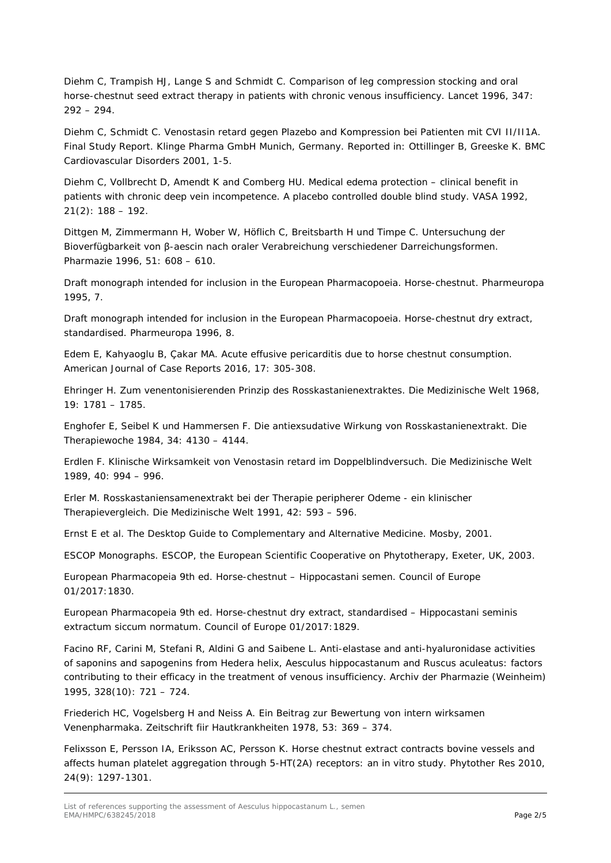Diehm C, Trampish HJ, Lange S and Schmidt C. Comparison of leg compression stocking and oral horse-chestnut seed extract therapy in patients with chronic venous insufficiency. *Lancet* 1996, 347: 292 – 294.

Diehm C, Schmidt C. Venostasin retard gegen Plazebo and Kompression bei Patienten mit CVI II/II1A. Final Study Report. Klinge Pharma GmbH Munich, Germany. Reported in: Ottillinger B, Greeske K. *BMC Cardiovascular Disorders* 2001, 1-5.

Diehm C, Vollbrecht D, Amendt K and Comberg HU. Medical edema protection – clinical benefit in patients with chronic deep vein incompetence. A placebo controlled double blind study. *VASA* 1992,  $21(2): 188 - 192.$ 

Dittgen M, Zimmermann H, Wober W, Höflich C, Breitsbarth H und Timpe C. Untersuchung der Bioverfügbarkeit von β-aescin nach oraler Verabreichung verschiedener Darreichungsformen. *Pharmazie* 1996, 51: 608 – 610.

Draft monograph intended for inclusion in the European Pharmacopoeia. Horse-chestnut. Pharmeuropa 1995, 7.

Draft monograph intended for inclusion in the European Pharmacopoeia. Horse-chestnut dry extract, standardised. Pharmeuropa 1996, 8.

Edem E, Kahyaoglu B, Çakar MA. Acute effusive pericarditis due to horse chestnut consumption. *American Journal of Case Reports* 2016, 17: 305-308.

Ehringer H. Zum venentonisierenden Prinzip des Rosskastanienextraktes. *Die Medizinische Welt* 1968, 19: 1781 – 1785.

Enghofer E, Seibel K und Hammersen F. Die antiexsudative Wirkung von Rosskastanienextrakt. *Die Therapiewoche* 1984, 34: 4130 – 4144.

Erdlen F. Klinische Wirksamkeit von Venostasin retard im Doppelblindversuch. *Die Medizinische Welt* 1989, 40: 994 – 996.

Erler M. Rosskastaniensamenextrakt bei der Therapie peripherer Odeme - ein klinischer Therapievergleich. *Die Medizinische Welt* 1991, 42: 593 – 596.

Ernst E et al. The Desktop Guide to Complementary and Alternative Medicine. Mosby, 2001.

ESCOP Monographs. ESCOP, the European Scientific Cooperative on Phytotherapy, Exeter, UK, 2003.

European Pharmacopeia 9th ed. Horse-chestnut – Hippocastani semen. Council of Europe 01/2017:1830.

European Pharmacopeia 9th ed. Horse-chestnut dry extract, standardised – Hippocastani seminis extractum siccum normatum. Council of Europe 01/2017:1829.

Facino RF, Carini M, Stefani R, Aldini G and Saibene L. Anti-elastase and anti-hyaluronidase activities of saponins and sapogenins from *Hedera helix*, *Aesculus hippocastanum* and *Ruscus aculeatus*: factors contributing to their efficacy in the treatment of venous insufficiency. *Archiv der Pharmazie (Weinheim)* 1995, 328(10): 721 – 724.

Friederich HC, Vogelsberg H and Neiss A. Ein Beitrag zur Bewertung von intern wirksamen Venenpharmaka. *Zeitschrift fiir Hautkrankheiten* 1978, 53: 369 – 374.

[Felixsson E,](https://www.ncbi.nlm.nih.gov/pubmed/?term=Felixsson%20E%5BAuthor%5D&cauthor=true&cauthor_uid=20148408) [Persson IA,](https://www.ncbi.nlm.nih.gov/pubmed/?term=Persson%20IA%5BAuthor%5D&cauthor=true&cauthor_uid=20148408) [Eriksson AC,](https://www.ncbi.nlm.nih.gov/pubmed/?term=Eriksson%20AC%5BAuthor%5D&cauthor=true&cauthor_uid=20148408) [Persson K.](https://www.ncbi.nlm.nih.gov/pubmed/?term=Persson%20K%5BAuthor%5D&cauthor=true&cauthor_uid=20148408) Horse chestnut extract contracts bovine vessels and affects human platelet aggregation through 5-HT(2A) receptors: an in vitro study. *[Phytother Res](https://www.ncbi.nlm.nih.gov/pubmed/?term=Horse+chestnut+extract+contracts+bovine+vessels+and+affects+human+platelet+aggregation+through+5-HT(2A)+receptors)* 2010, 24(9): 1297-1301.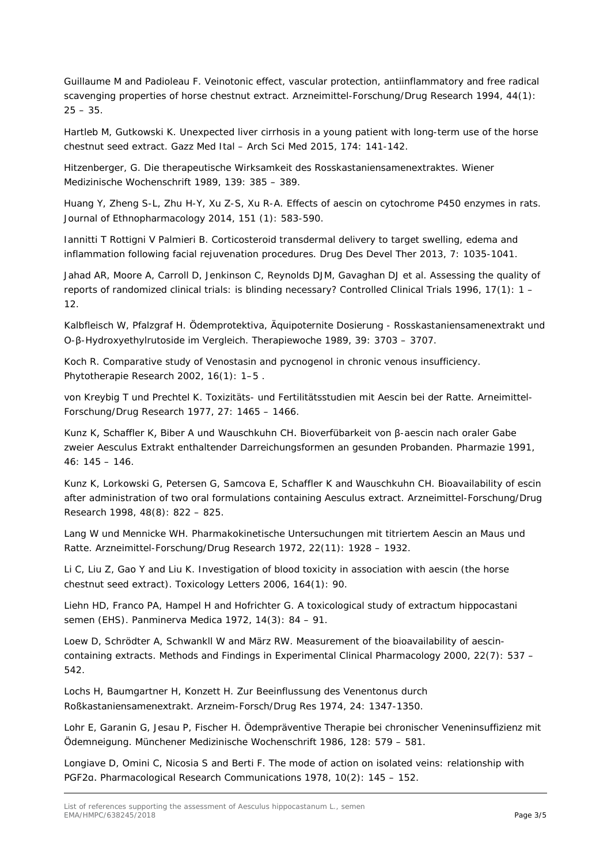Guillaume M and Padioleau F. Veinotonic effect, vascular protection, antiinflammatory and free radical scavenging properties of horse chestnut extract. *Arzneimittel-Forschung/Drug Research* 1994, 44(1):  $25 - 35$ 

Hartleb M, Gutkowski K. Unexpected liver cirrhosis in a young patient with long-term use of the horse chestnut seed extract. *Gazz Med Ital – Arch Sci Med* 2015, 174: 141-142.

Hitzenberger, G. Die therapeutische Wirksamkeit des Rosskastaniensamenextraktes. *Wiener Medizinische Wochenschrift* 1989, 139: 385 – 389.

Huang Y, Zheng S-L, Zhu H-Y, Xu Z-S, Xu R-A. Effects of aescin on cytochrome P450 enzymes in rats. *Journal of Ethnopharmacology* 2014, 151 (1): 583-590.

Iannitti T Rottigni V Palmieri B. Corticosteroid transdermal delivery to target swelling, edema and inflammation following facial rejuvenation procedures. *Drug Des Devel Ther* 2013, 7: 1035-1041.

Jahad AR, Moore A, Carroll D, Jenkinson C, Reynolds DJM, Gavaghan DJ et al. Assessing the quality of reports of randomized clinical trials: is blinding necessary? *Controlled Clinical Trials* 1996, 17(1): 1 – 12.

Kalbfleisch W, Pfalzgraf H. Ödemprotektiva, Äquipoternite Dosierung - Rosskastaniensamenextrakt und O-β-Hydroxyethylrutoside im Vergleich. *Therapiewoche* 1989, 39: 3703 – 3707.

Koch R. Comparative study of Venostasin and pycnogenol in chronic venous insufficiency. *Phytotherapie Research* 2002, 16(1): 1–5 .

von Kreybig T und Prechtel K. Toxizitäts- und Fertilitätsstudien mit Aescin bei der Ratte. *Arneimittel-Forschung/Drug Research* 1977, 27: 1465 – 1466.

Kunz K, Schaffler K, Biber A und Wauschkuhn CH. Bioverfübarkeit von β-aescin nach oraler Gabe zweier Aesculus Extrakt enthaltender Darreichungsformen an gesunden Probanden. *Pharmazie* 1991, 46: 145 – 146.

Kunz K, Lorkowski G, Petersen G, Samcova E, Schaffler K and Wauschkuhn CH. Bioavailability of escin after administration of two oral formulations containing Aesculus extract. *Arzneimittel-Forschung/Drug Research* 1998, 48(8): 822 – 825.

Lang W und Mennicke WH. Pharmakokinetische Untersuchungen mit titriertem Aescin an Maus und Ratte. *Arzneimittel-Forschung/Drug Research* 1972, 22(11): 1928 – 1932.

Li C, Liu Z, Gao Y and Liu K. Investigation of blood toxicity in association with aescin (the horse chestnut seed extract). *Toxicology Letters* 2006, 164(1): 90.

Liehn HD, Franco PA, Hampel H and Hofrichter G. A toxicological study of extractum hippocastani semen (EHS). *Panminerva Medica* 1972, 14(3): 84 – 91.

Loew D, Schrödter A, Schwankll W and März RW. Measurement of the bioavailability of aescincontaining extracts. *Methods and Findings in Experimental Clinical Pharmacology* 2000, 22(7): 537 – 542.

Lochs H, Baumgartner H, Konzett H. Zur Beeinflussung des Venentonus durch Roßkastaniensamenextrakt. *Arzneim-Forsch/Drug Res* 1974, 24: 1347-1350.

Lohr E, Garanin G, Jesau P, Fischer H. Ödempräventive Therapie bei chronischer Veneninsuffizienz mit Ödemneigung. *Münchener Medizinische Wochenschrift* 1986, 128: 579 – 581.

Longiave D, Omini C, Nicosia S and Berti F. The mode of action on isolated veins: relationship with PGF2α. *Pharmacological Research Communications* 1978, 10(2): 145 – 152.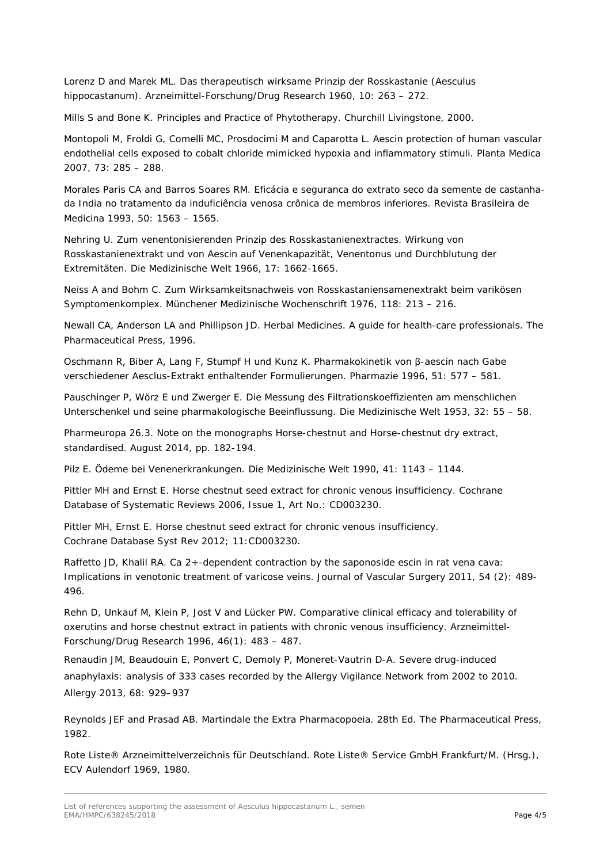Lorenz D and Marek ML. Das therapeutisch wirksame Prinzip der Rosskastanie (Aesculus hippocastanum). *Arzneimittel-Forschung/Drug Research* 1960, 10: 263 – 272.

Mills S and Bone K. Principles and Practice of Phytotherapy. Churchill Livingstone, 2000.

Montopoli M, Froldi G, Comelli MC, Prosdocimi M and Caparotta L. Aescin protection of human vascular endothelial cells exposed to cobalt chloride mimicked hypoxia and inflammatory stimuli. *Planta Medica* 2007, 73: 285 – 288.

Morales Paris CA and Barros Soares RM. Eficácia e seguranca do extrato seco da semente de castanhada India no tratamento da induficiência venosa crônica de membros inferiores. *Revista Brasileira de Medicina* 1993, 50: 1563 – 1565.

Nehring U. Zum venentonisierenden Prinzip des Rosskastanienextractes. Wirkung von Rosskastanienextrakt und von Aescin auf Venenkapazität, Venentonus und Durchblutung der Extremitäten. *Die Medizinische Welt* 1966, 17: 1662-1665.

Neiss A and Bohm C. Zum Wirksamkeitsnachweis von Rosskastaniensamenextrakt beim varikösen Symptomenkomplex. *Münchener Medizinische Wochenschrift* 1976, 118: 213 – 216.

Newall CA, Anderson LA and Phillipson JD. Herbal Medicines. A guide for health-care professionals. The Pharmaceutical Press, 1996.

Oschmann R, Biber A, Lang F, Stumpf H und Kunz K. Pharmakokinetik von β-aescin nach Gabe verschiedener Aesclus-Extrakt enthaltender Formulierungen. *Pharmazie* 1996, 51: 577 – 581.

Pauschinger P, Wörz E und Zwerger E. Die Messung des Filtrationskoeffizienten am menschlichen Unterschenkel und seine pharmakologische Beeinflussung. *Die Medizinische Welt* 1953, 32: 55 – 58.

Pharmeuropa 26.3. Note on the monographs Horse-chestnut and Horse-chestnut dry extract, standardised. August 2014, pp. 182-194.

Pilz E. Ödeme bei Venenerkrankungen. *Die Medizinische Welt* 1990, 41: 1143 – 1144.

Pittler MH and Ernst E. Horse chestnut seed extract for chronic venous insufficiency. *Cochrane Database of Systematic Reviews* 2006, Issue 1, Art No.: CD003230.

Pittler MH, Ernst E. Horse chestnut seed extract for chronic venous insufficiency. *Cochrane Database Syst Rev* 2012; 11:CD003230.

Raffetto JD, Khalil RA. Ca 2+-dependent contraction by the saponoside escin in rat vena cava: Implications in venotonic treatment of varicose veins. *Journal of Vascular Surgery* 2011, 54 (2): 489- 496.

Rehn D, Unkauf M, Klein P, Jost V and Lücker PW. Comparative clinical efficacy and tolerability of oxerutins and horse chestnut extract in patients with chronic venous insufficiency. *Arzneimittel-Forschung/Drug Research* 1996, 46(1): 483 – 487.

Renaudin JM, Beaudouin E, Ponvert C, Demoly P, Moneret-Vautrin D-A. Severe drug-induced anaphylaxis: analysis of 333 cases recorded by the Allergy Vigilance Network from 2002 to 2010. *Allergy* 2013, 68: 929–937

Reynolds JEF and Prasad AB. Martindale the Extra Pharmacopoeia. 28th Ed. The Pharmaceutical Press, 1982.

Rote Liste® Arzneimittelverzeichnis für Deutschland. Rote Liste® Service GmbH Frankfurt/M. (Hrsg.), ECV Aulendorf 1969, 1980.